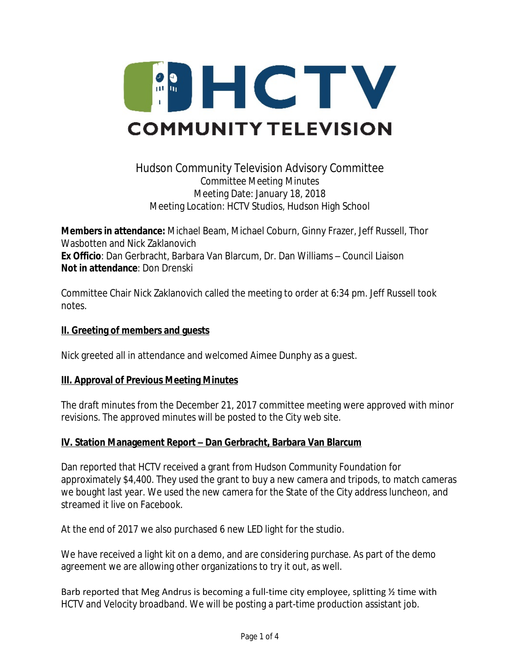

# Hudson Community Television Advisory Committee *Committee Meeting Minutes* Meeting Date: January 18, 2018 Meeting Location: HCTV Studios, Hudson High School

**Members in attendance:** Michael Beam, Michael Coburn, Ginny Frazer, Jeff Russell, Thor Wasbotten and Nick Zaklanovich **Ex Officio**: Dan Gerbracht, Barbara Van Blarcum, Dr. Dan Williams – Council Liaison **Not in attendance**: Don Drenski

Committee Chair Nick Zaklanovich called the meeting to order at 6:34 pm. Jeff Russell took notes.

#### **II. Greeting of members and guests**

Nick greeted all in attendance and welcomed Aimee Dunphy as a guest.

### **III. Approval of Previous Meeting Minutes**

The draft minutes from the December 21, 2017 committee meeting were approved with minor revisions. The approved minutes will be posted to the City web site.

### **IV. Station Management Report – Dan Gerbracht, Barbara Van Blarcum**

Dan reported that HCTV received a grant from Hudson Community Foundation for approximately \$4,400. They used the grant to buy a new camera and tripods, to match cameras we bought last year. We used the new camera for the State of the City address luncheon, and streamed it live on Facebook.

At the end of 2017 we also purchased 6 new LED light for the studio.

We have received a light kit on a demo, and are considering purchase. As part of the demo agreement we are allowing other organizations to try it out, as well.

Barb reported that Meg Andrus is becoming a full-time city employee, splitting 1/2 time with HCTV and Velocity broadband. We will be posting a part-time production assistant job.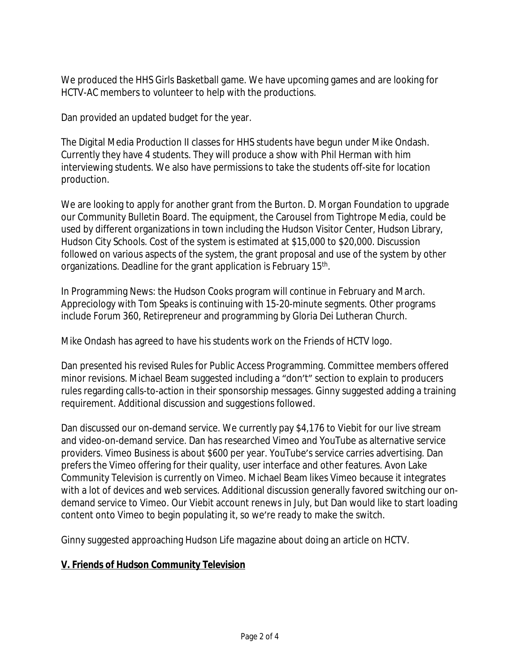We produced the HHS Girls Basketball game. We have upcoming games and are looking for HCTV-AC members to volunteer to help with the productions.

Dan provided an updated budget for the year.

The Digital Media Production II classes for HHS students have begun under Mike Ondash. Currently they have 4 students. They will produce a show with Phil Herman with him interviewing students. We also have permissions to take the students off-site for location production.

We are looking to apply for another grant from the Burton. D. Morgan Foundation to upgrade our Community Bulletin Board. The equipment, the Carousel from Tightrope Media, could be used by different organizations in town including the Hudson Visitor Center, Hudson Library, Hudson City Schools. Cost of the system is estimated at \$15,000 to \$20,000. Discussion followed on various aspects of the system, the grant proposal and use of the system by other organizations. Deadline for the grant application is February 15<sup>th</sup>.

In Programming News: the Hudson Cooks program will continue in February and March. Appreciology with Tom Speaks is continuing with 15-20-minute segments. Other programs include Forum 360, Retirepreneur and programming by Gloria Dei Lutheran Church.

Mike Ondash has agreed to have his students work on the Friends of HCTV logo.

Dan presented his revised Rules for Public Access Programming. Committee members offered minor revisions. Michael Beam suggested including a "don't" section to explain to producers rules regarding calls-to-action in their sponsorship messages. Ginny suggested adding a training requirement. Additional discussion and suggestions followed.

Dan discussed our on-demand service. We currently pay \$4,176 to Viebit for our live stream and video-on-demand service. Dan has researched Vimeo and YouTube as alternative service providers. Vimeo Business is about \$600 per year. YouTube's service carries advertising. Dan prefers the Vimeo offering for their quality, user interface and other features. Avon Lake Community Television is currently on Vimeo. Michael Beam likes Vimeo because it integrates with a lot of devices and web services. Additional discussion generally favored switching our ondemand service to Vimeo. Our Viebit account renews in July, but Dan would like to start loading content onto Vimeo to begin populating it, so we're ready to make the switch.

Ginny suggested approaching Hudson Life magazine about doing an article on HCTV.

### **V. Friends of Hudson Community Television**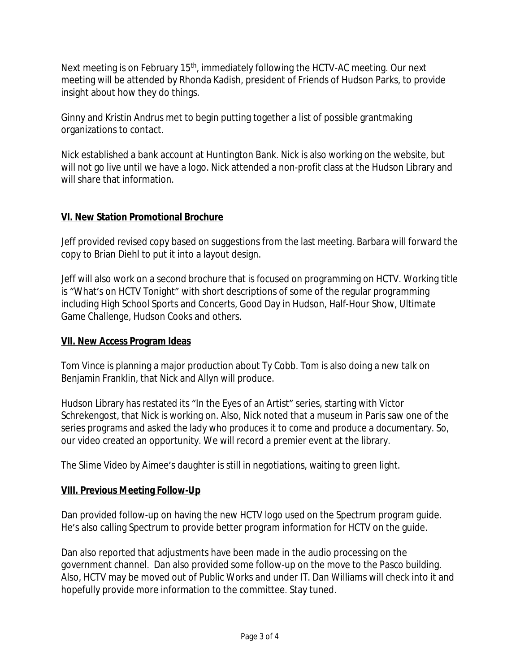Next meeting is on February 15<sup>th</sup>, immediately following the HCTV-AC meeting. Our next meeting will be attended by Rhonda Kadish, president of Friends of Hudson Parks, to provide insight about how they do things.

Ginny and Kristin Andrus met to begin putting together a list of possible grantmaking organizations to contact.

Nick established a bank account at Huntington Bank. Nick is also working on the website, but will not go live until we have a logo. Nick attended a non-profit class at the Hudson Library and will share that information.

### **VI. New Station Promotional Brochure**

Jeff provided revised copy based on suggestions from the last meeting. Barbara will forward the copy to Brian Diehl to put it into a layout design.

Jeff will also work on a second brochure that is focused on programming on HCTV. Working title is "What's on HCTV Tonight" with short descriptions of some of the regular programming including High School Sports and Concerts, Good Day in Hudson, Half-Hour Show, Ultimate Game Challenge, Hudson Cooks and others.

### **VII. New Access Program Ideas**

Tom Vince is planning a major production about Ty Cobb. Tom is also doing a new talk on Benjamin Franklin, that Nick and Allyn will produce.

Hudson Library has restated its "In the Eyes of an Artist" series, starting with Victor Schrekengost, that Nick is working on. Also, Nick noted that a museum in Paris saw one of the series programs and asked the lady who produces it to come and produce a documentary. So, our video created an opportunity. We will record a premier event at the library.

The Slime Video by Aimee's daughter is still in negotiations, waiting to green light.

### **VIII. Previous Meeting Follow-Up**

Dan provided follow-up on having the new HCTV logo used on the Spectrum program guide. He's also calling Spectrum to provide better program information for HCTV on the guide.

Dan also reported that adjustments have been made in the audio processing on the government channel. Dan also provided some follow-up on the move to the Pasco building. Also, HCTV may be moved out of Public Works and under IT. Dan Williams will check into it and hopefully provide more information to the committee. Stay tuned.